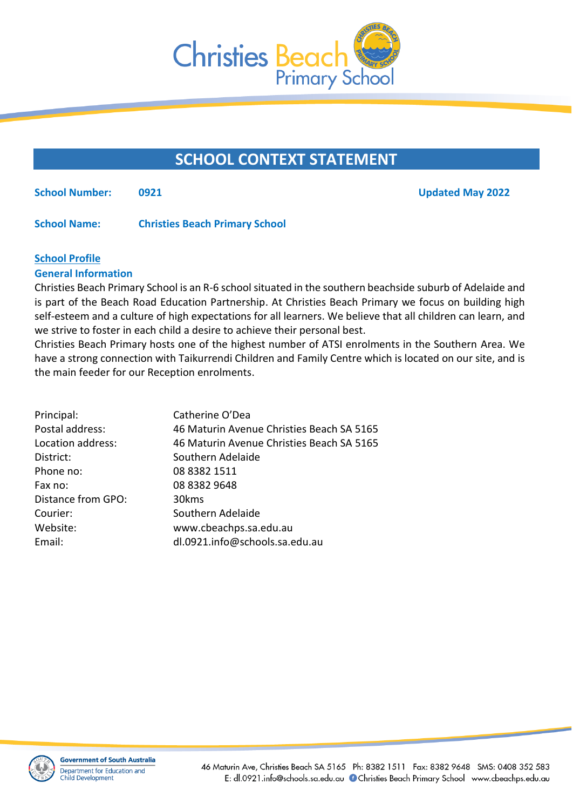

# **SCHOOL CONTEXT STATEMENT**

**School Number: 0921 Updated May 2022**

**School Name: Christies Beach Primary School**

# **School Profile**

# **General Information**

Christies Beach Primary School is an R-6 school situated in the southern beachside suburb of Adelaide and is part of the Beach Road Education Partnership. At Christies Beach Primary we focus on building high self-esteem and a culture of high expectations for all learners. We believe that all children can learn, and we strive to foster in each child a desire to achieve their personal best.

Christies Beach Primary hosts one of the highest number of ATSI enrolments in the Southern Area. We have a strong connection with Taikurrendi Children and Family Centre which is located on our site, and is the main feeder for our Reception enrolments.

| 46 Maturin Avenue Christies Beach SA 5165 |
|-------------------------------------------|
| 46 Maturin Avenue Christies Beach SA 5165 |
|                                           |
|                                           |
|                                           |
|                                           |
|                                           |
|                                           |
|                                           |
|                                           |

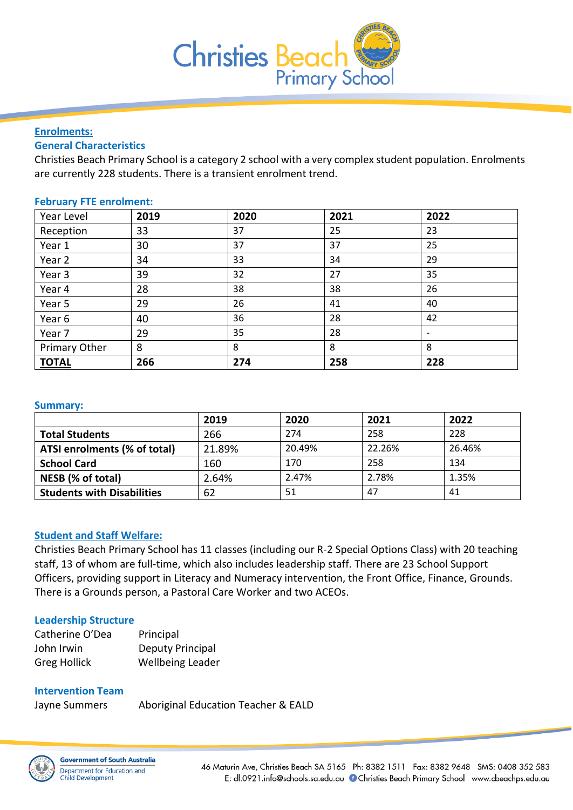

#### **Enrolments:**

# **General Characteristics**

Christies Beach Primary School is a category 2 school with a very complex student population. Enrolments are currently 228 students. There is a transient enrolment trend.

## **February FTE enrolment:**

| Year Level    | 2019 | 2020 | 2021 | 2022                     |
|---------------|------|------|------|--------------------------|
| Reception     | 33   | 37   | 25   | 23                       |
| Year 1        | 30   | 37   | 37   | 25                       |
| Year 2        | 34   | 33   | 34   | 29                       |
| Year 3        | 39   | 32   | 27   | 35                       |
| Year 4        | 28   | 38   | 38   | 26                       |
| Year 5        | 29   | 26   | 41   | 40                       |
| Year 6        | 40   | 36   | 28   | 42                       |
| Year 7        | 29   | 35   | 28   | $\overline{\phantom{a}}$ |
| Primary Other | 8    | 8    | 8    | 8                        |
| <b>TOTAL</b>  | 266  | 274  | 258  | 228                      |

#### **Summary:**

|                                   | 2019   | 2020   | 2021   | 2022   |
|-----------------------------------|--------|--------|--------|--------|
| <b>Total Students</b>             | 266    | 274    | 258    | 228    |
| ATSI enrolments (% of total)      | 21.89% | 20.49% | 22.26% | 26.46% |
| <b>School Card</b>                | 160    | 170    | 258    | 134    |
| NESB (% of total)                 | 2.64%  | 2.47%  | 2.78%  | 1.35%  |
| <b>Students with Disabilities</b> | 62     | 51     | 47     | 41     |

#### **Student and Staff Welfare:**

Christies Beach Primary School has 11 classes (including our R-2 Special Options Class) with 20 teaching staff, 13 of whom are full-time, which also includes leadership staff*.* There are 23 School Support Officers, providing support in Literacy and Numeracy intervention, the Front Office, Finance, Grounds. There is a Grounds person, a Pastoral Care Worker and two ACEOs.

#### **Leadership Structure**

| Catherine O'Dea     | Principal        |
|---------------------|------------------|
| John Irwin          | Deputy Principal |
| <b>Greg Hollick</b> | Wellbeing Leader |

# **Intervention Team**

Jayne Summers Aboriginal Education Teacher & EALD

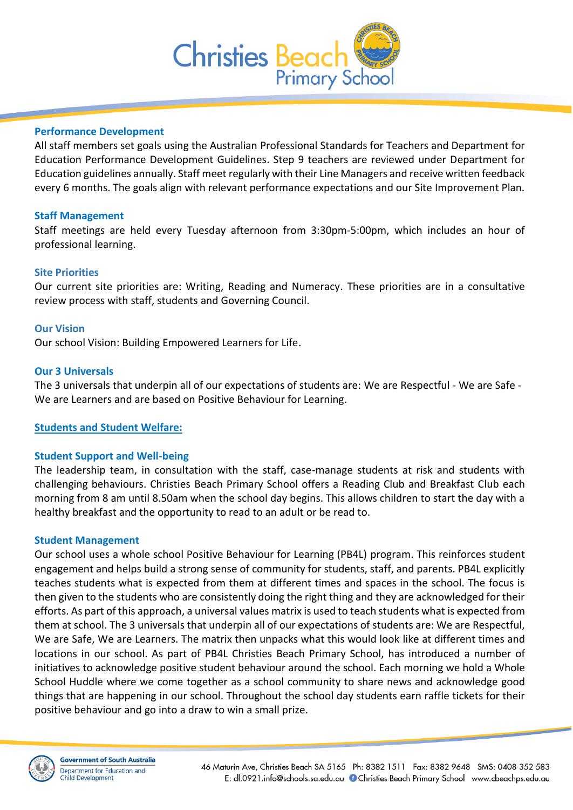

## **Performance Development**

All staff members set goals using the Australian Professional Standards for Teachers and Department for Education Performance Development Guidelines. Step 9 teachers are reviewed under Department for Education guidelines annually. Staff meet regularly with their Line Managers and receive written feedback every 6 months. The goals align with relevant performance expectations and our Site Improvement Plan.

## **Staff Management**

Staff meetings are held every Tuesday afternoon from 3:30pm-5:00pm, which includes an hour of professional learning.

## **Site Priorities**

Our current site priorities are: Writing, Reading and Numeracy. These priorities are in a consultative review process with staff, students and Governing Council.

#### **Our Vision**

Our school Vision: Building Empowered Learners for Life.

#### **Our 3 Universals**

The 3 universals that underpin all of our expectations of students are: We are Respectful - We are Safe - We are Learners and are based on Positive Behaviour for Learning.

**Students and Student Welfare:**

# **Student Support and Well-being**

The leadership team, in consultation with the staff, case-manage students at risk and students with challenging behaviours. Christies Beach Primary School offers a Reading Club and Breakfast Club each morning from 8 am until 8.50am when the school day begins. This allows children to start the day with a healthy breakfast and the opportunity to read to an adult or be read to.

#### **Student Management**

Our school uses a whole school Positive Behaviour for Learning (PB4L) program. This reinforces student engagement and helps build a strong sense of community for students, staff, and parents. PB4L explicitly teaches students what is expected from them at different times and spaces in the school. The focus is then given to the students who are consistently doing the right thing and they are acknowledged for their efforts. As part of this approach, a universal values matrix is used to teach students what is expected from them at school. The 3 universals that underpin all of our expectations of students are: We are Respectful, We are Safe, We are Learners. The matrix then unpacks what this would look like at different times and locations in our school. As part of PB4L Christies Beach Primary School, has introduced a number of initiatives to acknowledge positive student behaviour around the school. Each morning we hold a Whole School Huddle where we come together as a school community to share news and acknowledge good things that are happening in our school. Throughout the school day students earn raffle tickets for their positive behaviour and go into a draw to win a small prize.

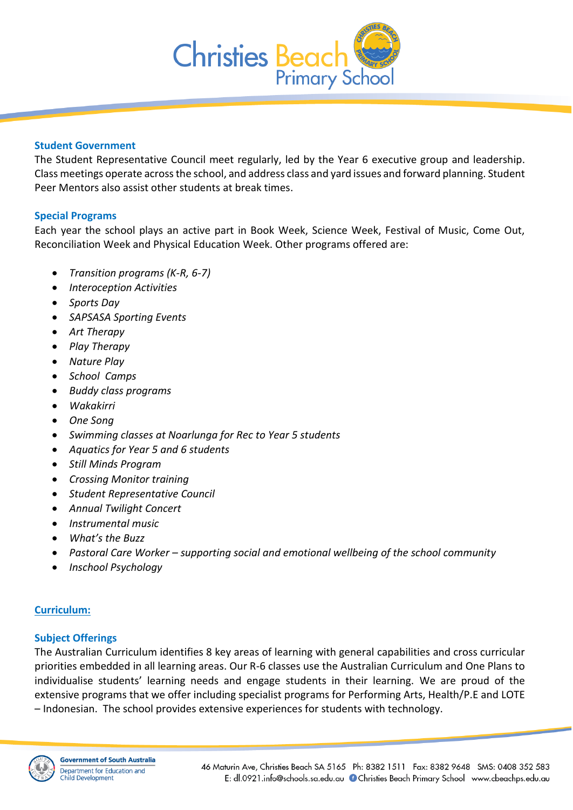

## **Student Government**

The Student Representative Council meet regularly, led by the Year 6 executive group and leadership. Class meetings operate across the school, and address class and yard issues and forward planning. Student Peer Mentors also assist other students at break times.

# **Special Programs**

Each year the school plays an active part in Book Week, Science Week, Festival of Music, Come Out, Reconciliation Week and Physical Education Week. Other programs offered are:

- *Transition programs (K-R, 6-7)*
- *Interoception Activities*
- *Sports Day*
- *SAPSASA Sporting Events*
- *Art Therapy*
- *Play Therapy*
- *Nature Play*
- *School Camps*
- *Buddy class programs*
- *Wakakirri*
- *One Song*
- *Swimming classes at Noarlunga for Rec to Year 5 students*
- *Aquatics for Year 5 and 6 students*
- *Still Minds Program*
- *Crossing Monitor training*
- *Student Representative Council*
- *Annual Twilight Concert*
- *Instrumental music*
- *What's the Buzz*
- *Pastoral Care Worker – supporting social and emotional wellbeing of the school community*
- *Inschool Psychology*

# **Curriculum:**

# **Subject Offerings**

The Australian Curriculum identifies 8 key areas of learning with general capabilities and cross curricular priorities embedded in all learning areas. Our R-6 classes use the Australian Curriculum and One Plans to individualise students' learning needs and engage students in their learning. We are proud of the extensive programs that we offer including specialist programs for Performing Arts, Health/P.E and LOTE – Indonesian. The school provides extensive experiences for students with technology.

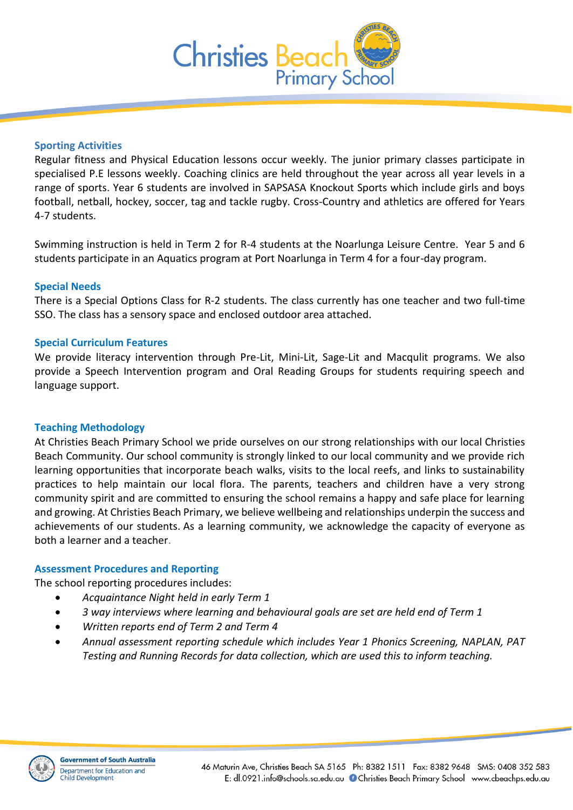

## **Sporting Activities**

Regular fitness and Physical Education lessons occur weekly. The junior primary classes participate in specialised P.E lessons weekly. Coaching clinics are held throughout the year across all year levels in a range of sports. Year 6 students are involved in SAPSASA Knockout Sports which include girls and boys football, netball, hockey, soccer, tag and tackle rugby. Cross-Country and athletics are offered for Years 4-7 students.

Swimming instruction is held in Term 2 for R-4 students at the Noarlunga Leisure Centre. Year 5 and 6 students participate in an Aquatics program at Port Noarlunga in Term 4 for a four-day program.

## **Special Needs**

There is a Special Options Class for R-2 students. The class currently has one teacher and two full-time SSO. The class has a sensory space and enclosed outdoor area attached.

#### **Special Curriculum Features**

We provide literacy intervention through Pre-Lit, Mini-Lit, Sage-Lit and Macqulit programs. We also provide a Speech Intervention program and Oral Reading Groups for students requiring speech and language support.

#### **Teaching Methodology**

At Christies Beach Primary School we pride ourselves on our strong relationships with our local Christies Beach Community. Our school community is strongly linked to our local community and we provide rich learning opportunities that incorporate beach walks, visits to the local reefs, and links to sustainability practices to help maintain our local flora. The parents, teachers and children have a very strong community spirit and are committed to ensuring the school remains a happy and safe place for learning and growing. At Christies Beach Primary, we believe wellbeing and relationships underpin the success and achievements of our students. As a learning community, we acknowledge the capacity of everyone as both a learner and a teacher.

#### **Assessment Procedures and Reporting**

The school reporting procedures includes:

- *Acquaintance Night held in early Term 1*
- *3 way interviews where learning and behavioural goals are set are held end of Term 1*
- *Written reports end of Term 2 and Term 4*
- *Annual assessment reporting schedule which includes Year 1 Phonics Screening, NAPLAN, PAT Testing and Running Records for data collection, which are used this to inform teaching.*

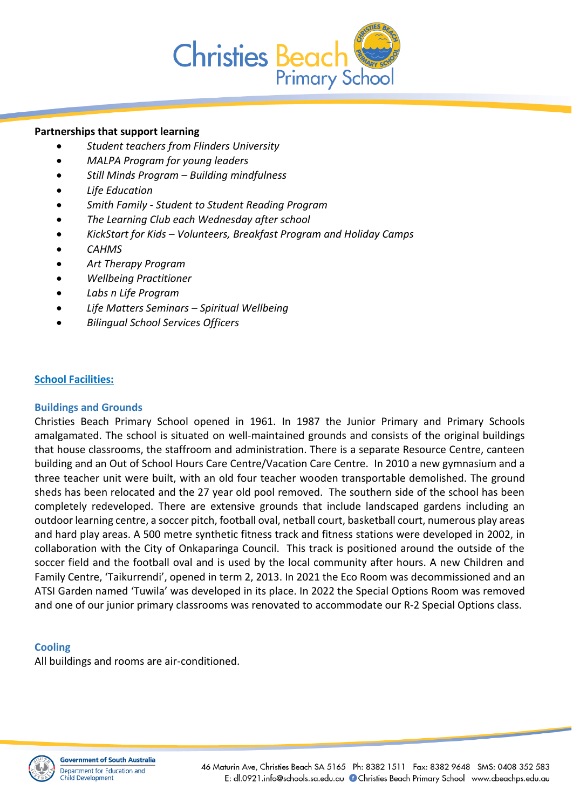

# **Partnerships that support learning**

- *Student teachers from Flinders University*
- *MALPA Program for young leaders*
- *Still Minds Program – Building mindfulness*
- *Life Education*
- *Smith Family - Student to Student Reading Program*
- *The Learning Club each Wednesday after school*
- *KickStart for Kids – Volunteers, Breakfast Program and Holiday Camps*
- *CAHMS*
- *Art Therapy Program*
- *Wellbeing Practitioner*
- *Labs n Life Program*
- *Life Matters Seminars – Spiritual Wellbeing*
- *Bilingual School Services Officers*

# **School Facilities:**

# **Buildings and Grounds**

Christies Beach Primary School opened in 1961. In 1987 the Junior Primary and Primary Schools amalgamated. The school is situated on well-maintained grounds and consists of the original buildings that house classrooms, the staffroom and administration. There is a separate Resource Centre, canteen building and an Out of School Hours Care Centre/Vacation Care Centre. In 2010 a new gymnasium and a three teacher unit were built, with an old four teacher wooden transportable demolished. The ground sheds has been relocated and the 27 year old pool removed. The southern side of the school has been completely redeveloped. There are extensive grounds that include landscaped gardens including an outdoor learning centre, a soccer pitch, football oval, netball court, basketball court, numerous play areas and hard play areas. A 500 metre synthetic fitness track and fitness stations were developed in 2002, in collaboration with the City of Onkaparinga Council. This track is positioned around the outside of the soccer field and the football oval and is used by the local community after hours. A new Children and Family Centre, 'Taikurrendi', opened in term 2, 2013. In 2021 the Eco Room was decommissioned and an ATSI Garden named 'Tuwila' was developed in its place. In 2022 the Special Options Room was removed and one of our junior primary classrooms was renovated to accommodate our R-2 Special Options class.

#### **Cooling**

All buildings and rooms are air-conditioned.

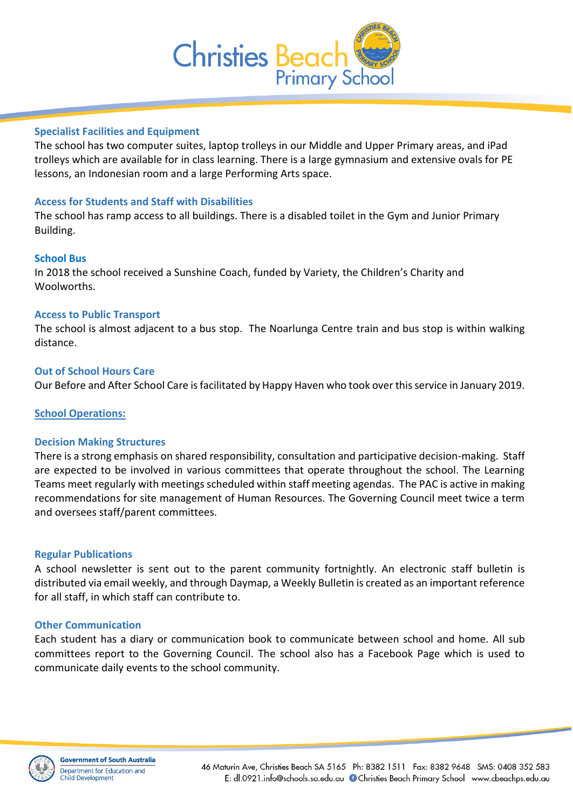

## **Specialist Facilities and Equipment**

The school has two computer suites, laptop trolleys in our Middle and Upper Primary areas, and iPad trolleys which are available for in class learning. There is a large gymnasium and extensive ovals for PE lessons, an Indonesian room and a large Performing Arts space.

## **Access for Students and Staff with Disabilities**

The school has ramp access to all buildings. There is a disabled toilet in the Gym and Junior Primary Building.

## **School Bus**

In 2018 the school received a Sunshine Coach, funded by Variety, the Children's Charity and Woolworths.

## **Access to Public Transport**

The school is almost adjacent to a bus stop. The Noarlunga Centre train and bus stop is within walking distance.

#### **Out of School Hours Care**

Our Before and After School Care is facilitated by Happy Haven who took over this service in January 2019.

#### **School Operations:**

#### **Decision Making Structures**

There is a strong emphasis on shared responsibility, consultation and participative decision-making. Staff are expected to be involved in various committees that operate throughout the school. The Learning Teams meet regularly with meetings scheduled within staff meeting agendas. The PAC is active in making recommendations for site management of Human Resources. The Governing Council meet twice a term and oversees staff/parent committees.

#### **Regular Publications**

A school newsletter is sent out to the parent community fortnightly. An electronic staff bulletin is distributed via email weekly, and through Daymap, a Weekly Bulletin is created as an important reference for all staff, in which staff can contribute to.

#### **Other Communication**

Each student has a diary or communication book to communicate between school and home. All sub committees report to the Governing Council. The school also has a Facebook Page which is used to communicate daily events to the school community.